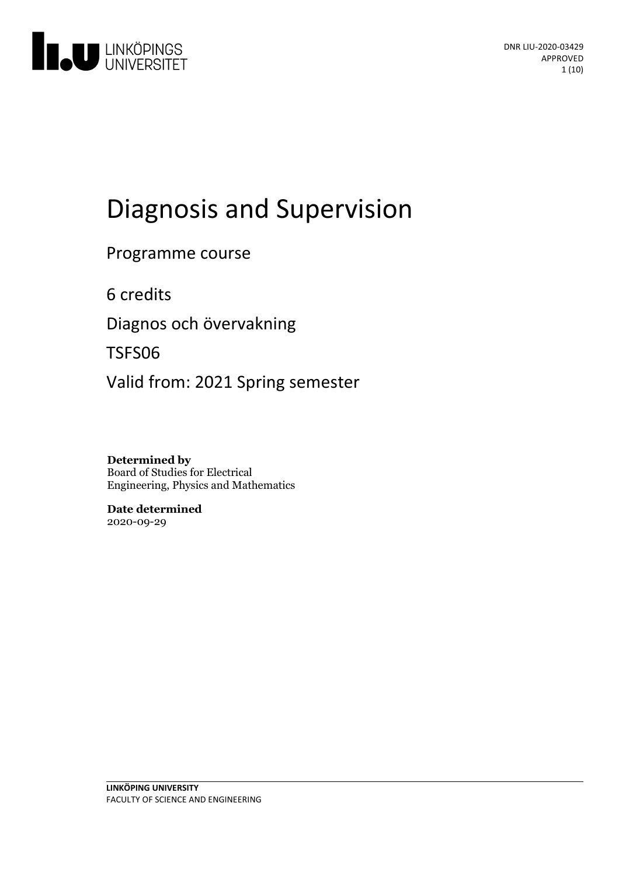

# Diagnosis and Supervision

Programme course

6 credits

Diagnos och övervakning

TSFS06

Valid from: 2021 Spring semester

**Determined by** Board of Studies for Electrical Engineering, Physics and Mathematics

**Date determined** 2020-09-29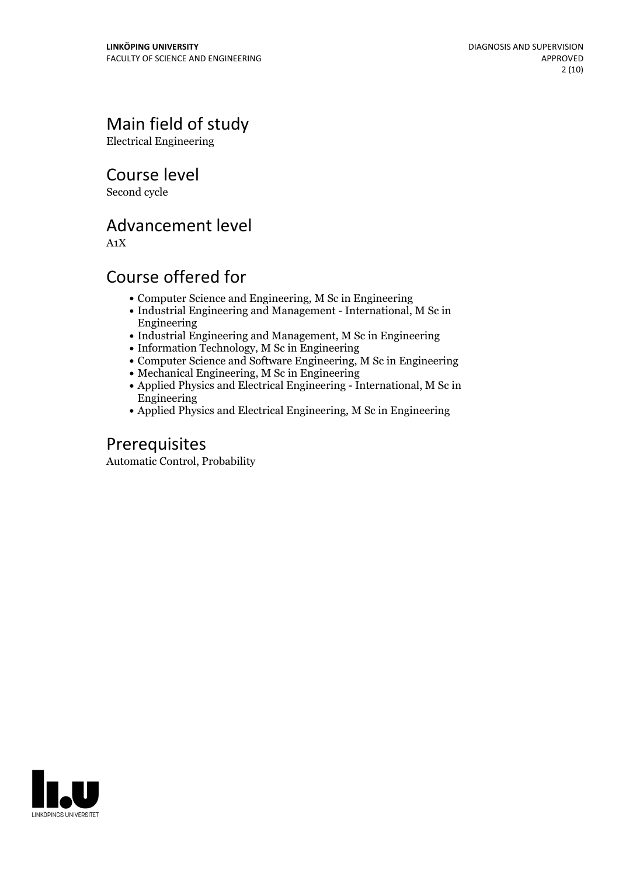# Main field of study

Electrical Engineering

Course level

Second cycle

# Advancement level

A1X

# Course offered for

- Computer Science and Engineering, M Sc in Engineering
- Industrial Engineering and Management International, M Sc in Engineering
- Industrial Engineering and Management, M Sc in Engineering
- Information Technology, M Sc in Engineering
- Computer Science and Software Engineering, M Sc in Engineering
- Mechanical Engineering, M Sc in Engineering
- Applied Physics and Electrical Engineering International, M Sc in Engineering
- Applied Physics and Electrical Engineering, M Sc in Engineering

# Prerequisites

Automatic Control, Probability

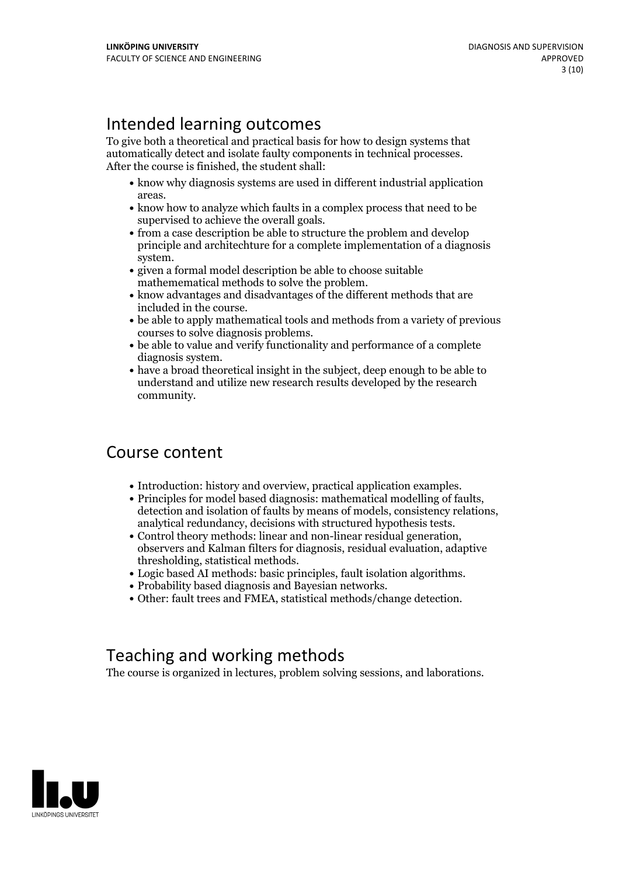# Intended learning outcomes

To give both a theoretical and practical basis for how to design systems that automatically detect and isolate faulty components in technical processes. After the course is finished, the student shall:

- know why diagnosis systems are used in different industrial application
- areas. know how to analyze which faults in <sup>a</sup> complex process that need to be
- supervised to achieve the overall goals.<br>• from a case description be able to structure the problem and develop principle and architechture for a complete implementation of a diagnosis system.<br>• given a formal model description be able to choose suitable
- 
- mathemematical methods to solve the problem.<br>• know advantages and disadvantages of the different methods that are
- included in the course.<br>• be able to apply mathematical tools and methods from a variety of previous courses to solve diagnosis problems.<br>• be able to value and verify functionality and performance of a complete
- 
- diagnosis system.<br>• have a broad theoretical insight in the subject, deep enough to be able to understand and utilize new research results developed by the research community.

# Course content

- 
- Introduction: history and overview, practical application examples.<br>
Principles for model based diagnosis: mathematical modelling of faults, detection and isolation of faults by means of models, consistency relations,
- 
- thresholding, statistical methods.<br>
Logic based AI methods: basic principles, fault isolation algorithms.<br>
Probability based diagnosis and Bayesian networks.<br>
Other: fault trees and FMEA, statistical methods/change d
- 
- 

# Teaching and working methods

The course is organized in lectures, problem solving sessions, and laborations.

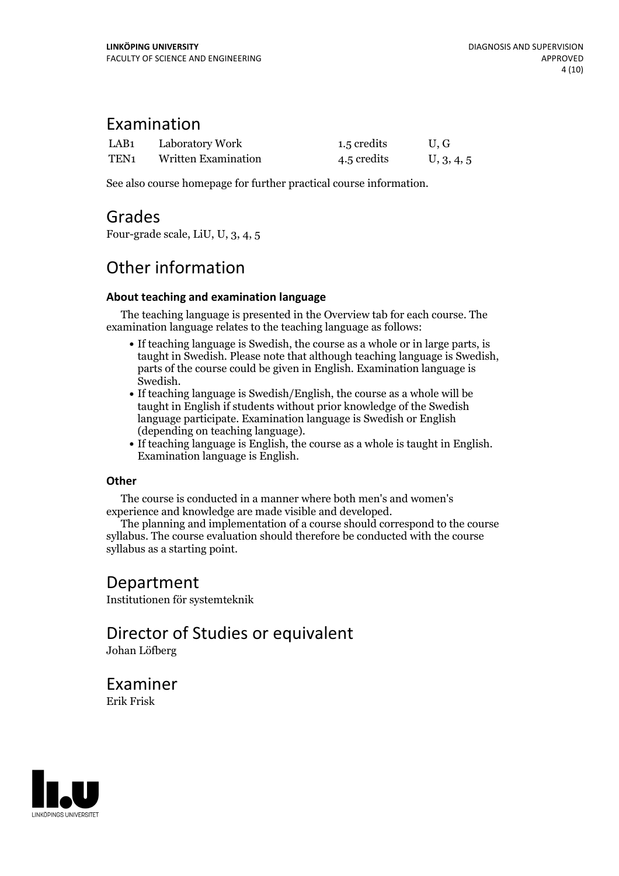### Examination

| LAB <sub>1</sub> | Laboratory Work            | 1.5 credits | U.G        |
|------------------|----------------------------|-------------|------------|
| TEN <sub>1</sub> | <b>Written Examination</b> | 4.5 credits | U, 3, 4, 5 |

See also course homepage for further practical course information.

### Grades

Four-grade scale, LiU, U, 3, 4, 5

# Other information

### **About teaching and examination language**

The teaching language is presented in the Overview tab for each course. The examination language relates to the teaching language as follows:

- If teaching language is Swedish, the course as a whole or in large parts, is taught in Swedish. Please note that although teaching language is Swedish, parts of the course could be given in English. Examination language is
- $\bullet$  If teaching language is Swedish/English, the course as a whole will be taught in English if students without prior knowledge of the Swedish language participate. Examination language is Swedish or English
- (depending on teaching language).<br>• If teaching language is English, the course as a whole is taught in English.<br>Examination language is English.

### **Other**

The course is conducted in a manner where both men's and women's

experience and knowledge are made visible and developed. The planning and implementation of <sup>a</sup> course should correspond to the course syllabus. The course evaluation should therefore be conducted with the course syllabus as a starting point.

# Department

Institutionen för systemteknik

### Director of Studies or equivalent Johan Löfberg

Examiner Erik Frisk

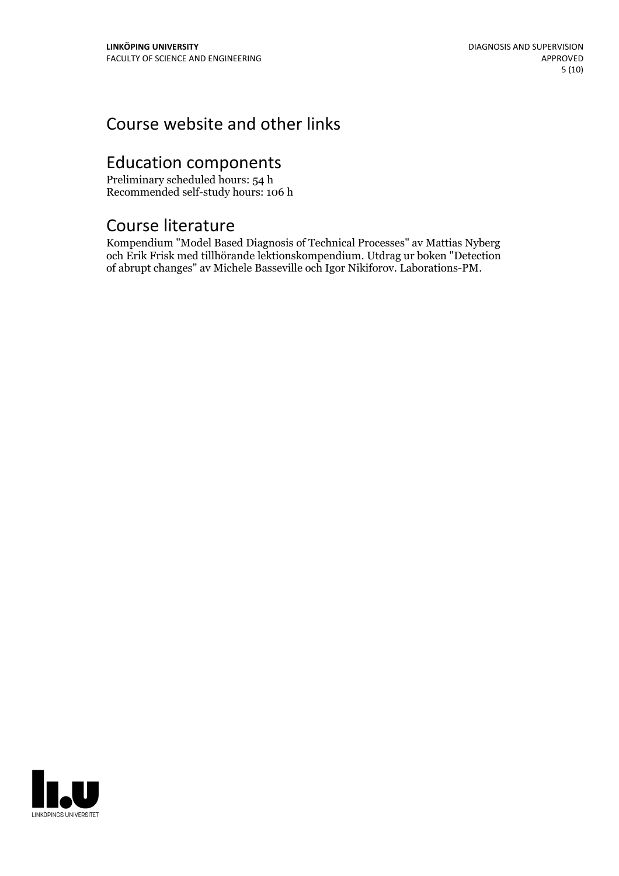# Course website and other links

# Education components

Preliminary scheduled hours: 54 h Recommended self-study hours: 106 h

# Course literature

Kompendium "Model Based Diagnosis of Technical Processes" av Mattias Nyberg och Erik Frisk med tillhörande lektionskompendium. Utdrag ur boken "Detection of abrupt changes" av Michele Basseville och Igor Nikiforov. Laborations-PM.

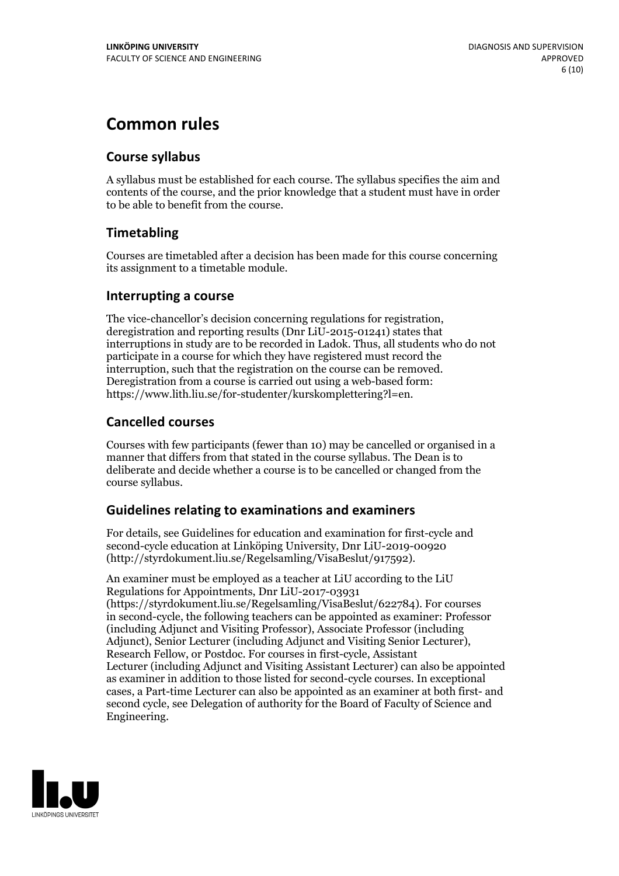# **Common rules**

### **Course syllabus**

A syllabus must be established for each course. The syllabus specifies the aim and contents of the course, and the prior knowledge that a student must have in order to be able to benefit from the course.

### **Timetabling**

Courses are timetabled after a decision has been made for this course concerning its assignment to a timetable module.

### **Interrupting a course**

The vice-chancellor's decision concerning regulations for registration, deregistration and reporting results (Dnr LiU-2015-01241) states that interruptions in study are to be recorded in Ladok. Thus, all students who do not participate in a course for which they have registered must record the interruption, such that the registration on the course can be removed. Deregistration from <sup>a</sup> course is carried outusing <sup>a</sup> web-based form: https://www.lith.liu.se/for-studenter/kurskomplettering?l=en.

### **Cancelled courses**

Courses with few participants (fewer than 10) may be cancelled or organised in a manner that differs from that stated in the course syllabus. The Dean is to deliberate and decide whether a course is to be cancelled or changed from the course syllabus.

### **Guidelines relatingto examinations and examiners**

For details, see Guidelines for education and examination for first-cycle and second-cycle education at Linköping University, Dnr LiU-2019-00920 (http://styrdokument.liu.se/Regelsamling/VisaBeslut/917592).

An examiner must be employed as a teacher at LiU according to the LiU Regulations for Appointments, Dnr LiU-2017-03931 (https://styrdokument.liu.se/Regelsamling/VisaBeslut/622784). For courses in second-cycle, the following teachers can be appointed as examiner: Professor (including Adjunct and Visiting Professor), Associate Professor (including Adjunct), Senior Lecturer (including Adjunct and Visiting Senior Lecturer), Research Fellow, or Postdoc. For courses in first-cycle, Assistant Lecturer (including Adjunct and Visiting Assistant Lecturer) can also be appointed as examiner in addition to those listed for second-cycle courses. In exceptional cases, a Part-time Lecturer can also be appointed as an examiner at both first- and second cycle, see Delegation of authority for the Board of Faculty of Science and Engineering.

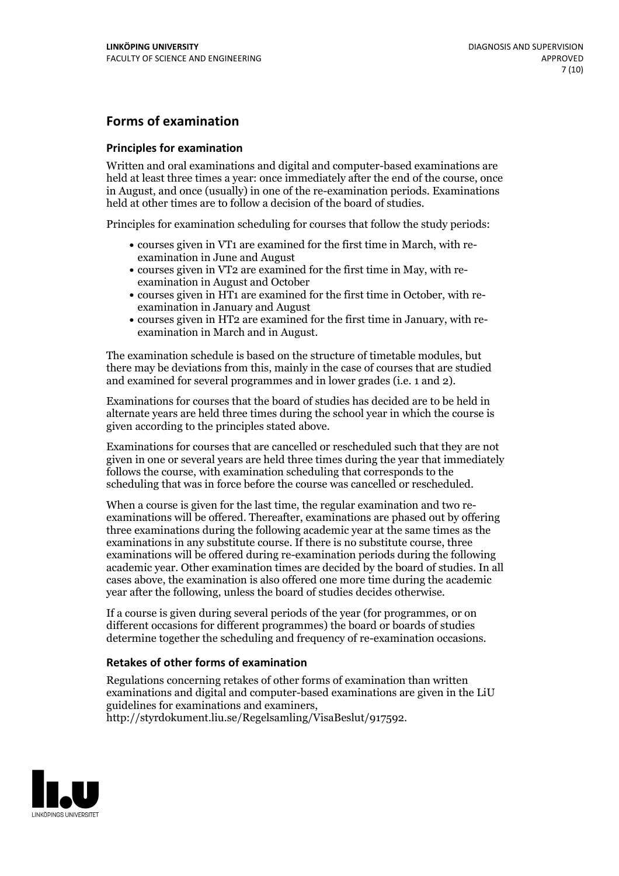### **Forms of examination**

#### **Principles for examination**

Written and oral examinations and digital and computer-based examinations are held at least three times a year: once immediately after the end of the course, once in August, and once (usually) in one of the re-examination periods. Examinations held at other times are to follow a decision of the board of studies.

Principles for examination scheduling for courses that follow the study periods:

- courses given in VT1 are examined for the first time in March, with re-examination in June and August
- courses given in VT2 are examined for the first time in May, with re-examination in August and October
- courses given in HT1 are examined for the first time in October, with re-examination in January and August
- courses given in HT2 are examined for the first time in January, with re-examination in March and in August.

The examination schedule is based on the structure of timetable modules, but there may be deviations from this, mainly in the case of courses that are studied and examined for several programmes and in lower grades (i.e. 1 and 2).

Examinations for courses that the board of studies has decided are to be held in alternate years are held three times during the school year in which the course is given according to the principles stated above.

Examinations for courses that are cancelled orrescheduled such that they are not given in one or several years are held three times during the year that immediately follows the course, with examination scheduling that corresponds to the scheduling that was in force before the course was cancelled or rescheduled.

When a course is given for the last time, the regular examination and two re-<br>examinations will be offered. Thereafter, examinations are phased out by offering three examinations during the following academic year at the same times as the examinations in any substitute course. If there is no substitute course, three examinations will be offered during re-examination periods during the following academic year. Other examination times are decided by the board of studies. In all cases above, the examination is also offered one more time during the academic year after the following, unless the board of studies decides otherwise.

If a course is given during several periods of the year (for programmes, or on different occasions for different programmes) the board or boards of studies determine together the scheduling and frequency of re-examination occasions.

### **Retakes of other forms of examination**

Regulations concerning retakes of other forms of examination than written examinations and digital and computer-based examinations are given in the LiU guidelines for examinations and examiners, http://styrdokument.liu.se/Regelsamling/VisaBeslut/917592.

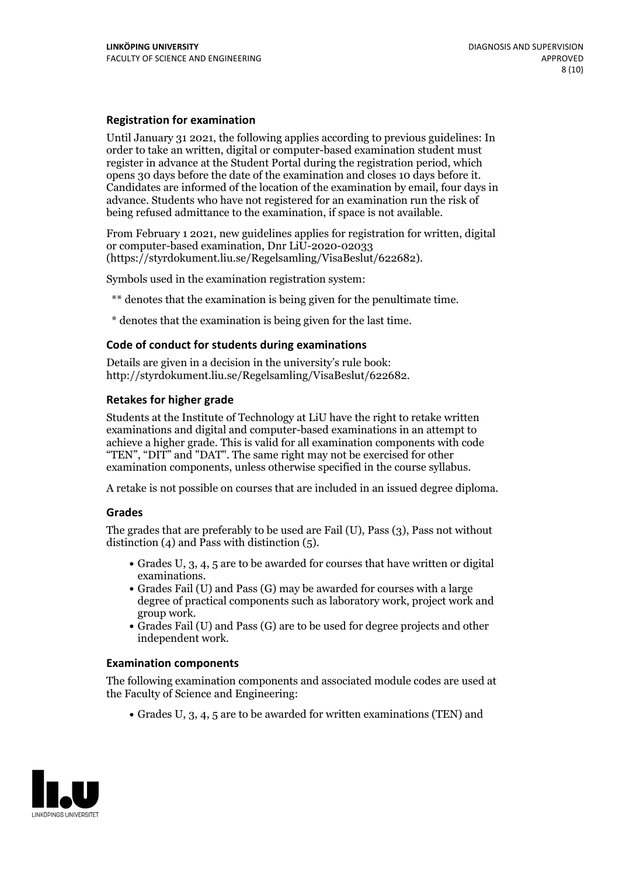#### **Registration for examination**

Until January 31 2021, the following applies according to previous guidelines: In order to take an written, digital or computer-based examination student must register in advance at the Student Portal during the registration period, which Candidates are informed of the location of the examination by email, four days in advance. Students who have not registered for an examination run the risk of being refused admittance to the examination, if space is not available.

From February 1 2021, new guidelines applies for registration for written, digital or computer-based examination, Dnr LiU-2020-02033 (https://styrdokument.liu.se/Regelsamling/VisaBeslut/622682).

Symbols used in the examination registration system:

\*\* denotes that the examination is being given for the penultimate time.

\* denotes that the examination is being given for the last time.

#### **Code of conduct for students during examinations**

Details are given in a decision in the university's rule book: http://styrdokument.liu.se/Regelsamling/VisaBeslut/622682.

#### **Retakes for higher grade**

Students at the Institute of Technology at LiU have the right to retake written examinations and digital and computer-based examinations in an attempt to achieve a higher grade. This is valid for all examination components with code "TEN", "DIT" and "DAT". The same right may not be exercised for other examination components, unless otherwise specified in the course syllabus.

A retake is not possible on courses that are included in an issued degree diploma.

#### **Grades**

The grades that are preferably to be used are Fail (U), Pass (3), Pass not without distinction  $(4)$  and Pass with distinction  $(5)$ .

- Grades U, 3, 4, 5 are to be awarded for courses that have written or digital
- examinations.<br>• Grades Fail (U) and Pass (G) may be awarded for courses with a large degree of practical components such as laboratory work, project work and
- $\bullet$  Grades Fail (U) and Pass (G) are to be used for degree projects and other independent work.

#### **Examination components**

The following examination components and associated module codes are used at the Faculty of Science and Engineering:

Grades U, 3, 4, 5 are to be awarded for written examinations (TEN) and

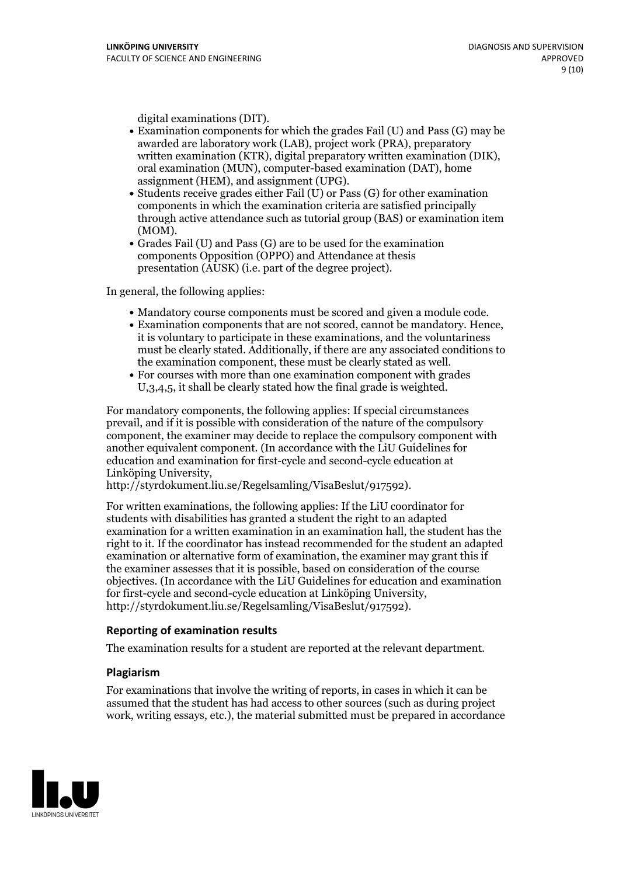- digital examinations (DIT).<br>• Examination components for which the grades Fail (U) and Pass (G) may be awarded are laboratory work (LAB), project work (PRA), preparatory written examination (KTR), digital preparatory written examination (DIK), oral examination (MUN), computer-based examination (DAT), home
- assignment (HEM), and assignment (UPG).<br>• Students receive grades either Fail (U) or Pass (G) for other examination components in which the examination criteria are satisfied principally through active attendance such as tutorial group (BAS) or examination item
- (MOM).<br>• Grades Fail (U) and Pass (G) are to be used for the examination components Opposition (OPPO) and Attendance at thesis presentation (AUSK) (i.e. part of the degree project).

In general, the following applies:

- 
- Mandatory course components must be scored and given <sup>a</sup> module code. Examination components that are not scored, cannot be mandatory. Hence, it is voluntary to participate in these examinations, and the voluntariness must be clearly stated. Additionally, if there are any associated conditions to the examination component, these must be clearly stated as well.<br>• For courses with more than one examination component with grades
- U,3,4,5, it shall be clearly stated how the final grade is weighted.

For mandatory components, the following applies: If special circumstances prevail, and if it is possible with consideration of the nature ofthe compulsory component, the examiner may decide to replace the compulsory component with another equivalent component. (In accordance with the LiU Guidelines for education and examination for first-cycle and second-cycle education at Linköping University, http://styrdokument.liu.se/Regelsamling/VisaBeslut/917592).

For written examinations, the following applies: If the LiU coordinator for students with disabilities has granted a student the right to an adapted examination for a written examination in an examination hall, the student has the right to it. If the coordinator has instead recommended for the student an adapted examination or alternative form of examination, the examiner may grant this if the examiner assesses that it is possible, based on consideration of the course objectives. (In accordance with the LiU Guidelines for education and examination for first-cycle and second-cycle education at Linköping University, http://styrdokument.liu.se/Regelsamling/VisaBeslut/917592).

#### **Reporting of examination results**

The examination results for a student are reported at the relevant department.

#### **Plagiarism**

For examinations that involve the writing of reports, in cases in which it can be assumed that the student has had access to other sources (such as during project work, writing essays, etc.), the material submitted must be prepared in accordance